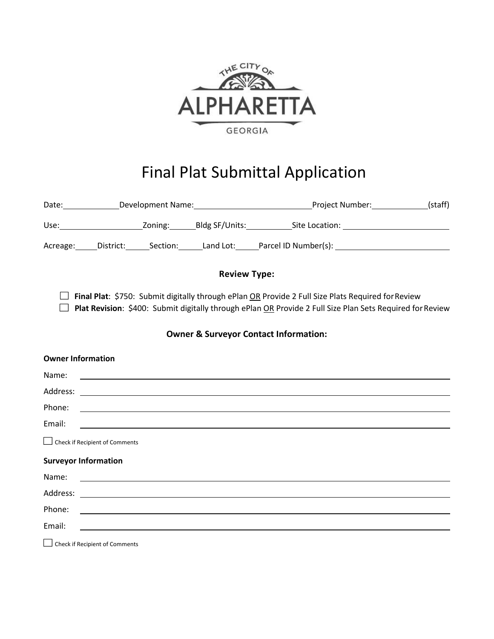

# Final Plat Submittal Application

|                             |                                |                                                      |                                                            | Date: ________________Development Name: ___________________________________Project Number: ______________(staff)                                                                                                                     |  |
|-----------------------------|--------------------------------|------------------------------------------------------|------------------------------------------------------------|--------------------------------------------------------------------------------------------------------------------------------------------------------------------------------------------------------------------------------------|--|
|                             |                                |                                                      |                                                            |                                                                                                                                                                                                                                      |  |
|                             |                                |                                                      |                                                            | Acreage: District: Section: Land Lot: Parcel ID Number(s): 1988                                                                                                                                                                      |  |
|                             |                                |                                                      | <b>Review Type:</b>                                        |                                                                                                                                                                                                                                      |  |
|                             |                                |                                                      |                                                            | Final Plat: \$750: Submit digitally through ePlan OR Provide 2 Full Size Plats Required for Review<br>Plat Revision: \$400: Submit digitally through ePlan OR Provide 2 Full Size Plan Sets Required for Review                      |  |
|                             |                                |                                                      |                                                            | <b>Owner &amp; Surveyor Contact Information:</b>                                                                                                                                                                                     |  |
| <b>Owner Information</b>    |                                |                                                      |                                                            |                                                                                                                                                                                                                                      |  |
| Name:                       |                                |                                                      |                                                            | <u> 1988 - Andrea Stadt Britain, actor a component de la componentación de la componentación de la componentación</u>                                                                                                                |  |
|                             |                                |                                                      |                                                            |                                                                                                                                                                                                                                      |  |
| Phone:                      |                                |                                                      |                                                            | <u> 1999 - Jan James James Barnett, amerikansk politiker (d. 1989)</u>                                                                                                                                                               |  |
| Email:                      |                                |                                                      |                                                            | <u> 1989 - Johann Stoff, amerikansk politiker (d. 1989)</u>                                                                                                                                                                          |  |
|                             | Check if Recipient of Comments |                                                      |                                                            |                                                                                                                                                                                                                                      |  |
| <b>Surveyor Information</b> |                                |                                                      |                                                            |                                                                                                                                                                                                                                      |  |
| Name:                       |                                |                                                      |                                                            | <u>state and the state of the state of the state of the state of the state of the state of the state of the state of the state of the state of the state of the state of the state of the state of the state of the state of the</u> |  |
|                             |                                |                                                      |                                                            |                                                                                                                                                                                                                                      |  |
| Phone:                      |                                |                                                      |                                                            | <u> 1989 - Johann Stoff, deutscher Stoffen und der Stoffen und der Stoffen und der Stoffen und der Stoffen und der</u>                                                                                                               |  |
| Email:                      |                                |                                                      | <u> 1989 - John Stein, Amerikaansk politiker (</u> † 1920) |                                                                                                                                                                                                                                      |  |
|                             |                                | $\Box$ at the state of $\Box$ at the state of $\Box$ |                                                            |                                                                                                                                                                                                                                      |  |

Check if Recipient of Comments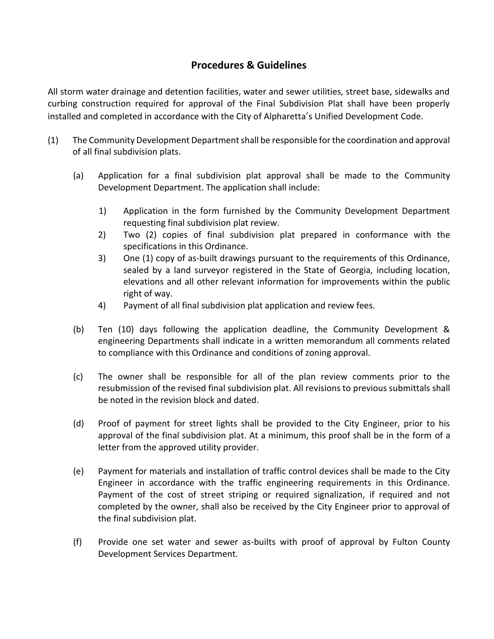## **Procedures & Guidelines**

All storm water drainage and detention facilities, water and sewer utilities, street base, sidewalks and curbing construction required for approval of the Final Subdivision Plat shall have been properly installed and completed in accordance with the City of Alpharetta's Unified Development Code.

- (1) The Community Development Department shall be responsible for the coordination and approval of all final subdivision plats.
	- (a) Application for a final subdivision plat approval shall be made to the Community Development Department. The application shall include:
		- 1) Application in the form furnished by the Community Development Department requesting final subdivision plat review.
		- 2) Two (2) copies of final subdivision plat prepared in conformance with the specifications in this Ordinance.
		- 3) One (1) copy of as-built drawings pursuant to the requirements of this Ordinance, sealed by a land surveyor registered in the State of Georgia, including location, elevations and all other relevant information for improvements within the public right of way.
		- 4) Payment of all final subdivision plat application and review fees.
	- (b) Ten (10) days following the application deadline, the Community Development & engineering Departments shall indicate in a written memorandum all comments related to compliance with this Ordinance and conditions of zoning approval.
	- (c) The owner shall be responsible for all of the plan review comments prior to the resubmission of the revised final subdivision plat. All revisions to previous submittals shall be noted in the revision block and dated.
	- (d) Proof of payment for street lights shall be provided to the City Engineer, prior to his approval of the final subdivision plat. At a minimum, this proof shall be in the form of a letter from the approved utility provider.
	- (e) Payment for materials and installation of traffic control devices shall be made to the City Engineer in accordance with the traffic engineering requirements in this Ordinance. Payment of the cost of street striping or required signalization, if required and not completed by the owner, shall also be received by the City Engineer prior to approval of the final subdivision plat.
	- (f) Provide one set water and sewer as-builts with proof of approval by Fulton County Development Services Department.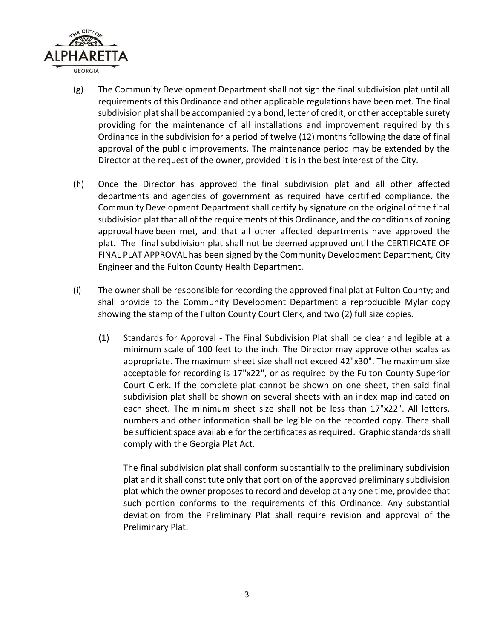

- (g) The Community Development Department shall not sign the final subdivision plat until all requirements of this Ordinance and other applicable regulations have been met. The final subdivision plat shall be accompanied by a bond, letter of credit, or other acceptable surety providing for the maintenance of all installations and improvement required by this Ordinance in the subdivision for a period of twelve (12) months following the date of final approval of the public improvements. The maintenance period may be extended by the Director at the request of the owner, provided it is in the best interest of the City.
- (h) Once the Director has approved the final subdivision plat and all other affected departments and agencies of government as required have certified compliance, the Community Development Department shall certify by signature on the original of the final subdivision plat that all of the requirements of this Ordinance, and the conditions of zoning approval have been met, and that all other affected departments have approved the plat. The final subdivision plat shall not be deemed approved until the CERTIFICATE OF FINAL PLAT APPROVAL has been signed by the Community Development Department, City Engineer and the Fulton County Health Department.
- (i) The owner shall be responsible for recording the approved final plat at Fulton County; and shall provide to the Community Development Department a reproducible Mylar copy showing the stamp of the Fulton County Court Clerk, and two (2) full size copies.
	- (1) Standards for Approval The Final Subdivision Plat shall be clear and legible at a minimum scale of 100 feet to the inch. The Director may approve other scales as appropriate. The maximum sheet size shall not exceed 42"x30". The maximum size acceptable for recording is 17"x22", or as required by the Fulton County Superior Court Clerk. If the complete plat cannot be shown on one sheet, then said final subdivision plat shall be shown on several sheets with an index map indicated on each sheet. The minimum sheet size shall not be less than 17"x22". All letters, numbers and other information shall be legible on the recorded copy. There shall be sufficient space available for the certificates as required. Graphic standards shall comply with the Georgia Plat Act.

The final subdivision plat shall conform substantially to the preliminary subdivision plat and it shall constitute only that portion of the approved preliminary subdivision plat which the owner proposes to record and develop at any one time, provided that such portion conforms to the requirements of this Ordinance. Any substantial deviation from the Preliminary Plat shall require revision and approval of the Preliminary Plat.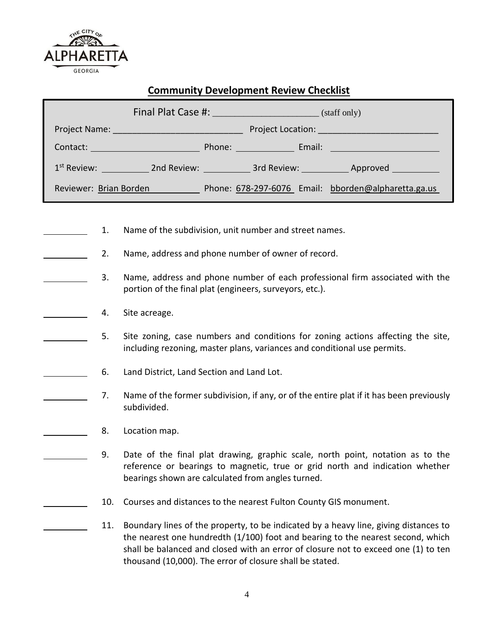

#### **Community Development Review Checklist**

|                                                                                                                          |                                                                                                                                         |  |  |  | 1 <sup>st</sup> Review: ______________ 2nd Review: ______________ 3rd Review: ____________ Approved _________ |
|--------------------------------------------------------------------------------------------------------------------------|-----------------------------------------------------------------------------------------------------------------------------------------|--|--|--|---------------------------------------------------------------------------------------------------------------|
|                                                                                                                          |                                                                                                                                         |  |  |  | Reviewer: Brian Borden Phone: 678-297-6076 Email: bborden@alpharetta.ga.us                                    |
| Name of the subdivision, unit number and street names.<br>1.<br>Name, address and phone number of owner of record.<br>2. |                                                                                                                                         |  |  |  |                                                                                                               |
| 3.                                                                                                                       | Name, address and phone number of each professional firm associated with the<br>portion of the final plat (engineers, surveyors, etc.). |  |  |  |                                                                                                               |
| 4.                                                                                                                       | Site acreage.                                                                                                                           |  |  |  |                                                                                                               |

- 5. Site zoning, case numbers and conditions for zoning actions affecting the site, including rezoning, master plans, variances and conditional use permits.
- 6. Land District, Land Section and Land Lot.
	- 7. Name of the former subdivision, if any, or of the entire plat if it has been previously subdivided.
	- 8. Location map.
		- 9. Date of the final plat drawing, graphic scale, north point, notation as to the reference or bearings to magnetic, true or grid north and indication whether bearings shown are calculated from angles turned.
		- 10. Courses and distances to the nearest Fulton County GIS monument.
		- 11. Boundary lines of the property, to be indicated by a heavy line, giving distances to the nearest one hundredth (1/100) foot and bearing to the nearest second, which shall be balanced and closed with an error of closure not to exceed one (1) to ten thousand (10,000). The error of closure shall be stated.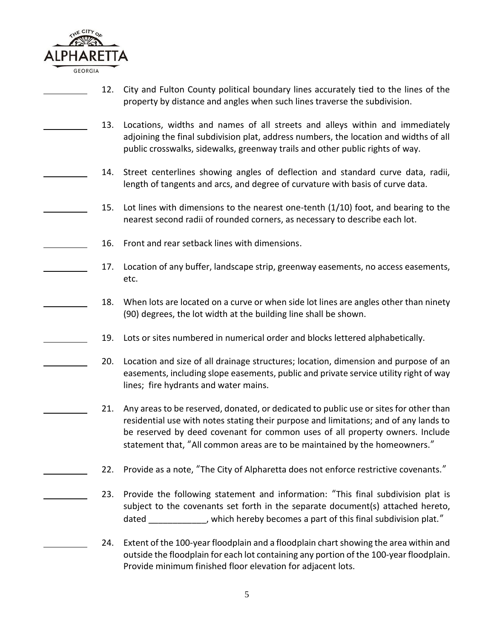

- 12. City and Fulton County political boundary lines accurately tied to the lines of the property by distance and angles when such lines traverse the subdivision.
- 13. Locations, widths and names of all streets and alleys within and immediately adjoining the final subdivision plat, address numbers, the location and widths of all public crosswalks, sidewalks, greenway trails and other public rights of way.
- 14. Street centerlines showing angles of deflection and standard curve data, radii, length of tangents and arcs, and degree of curvature with basis of curve data.
- 15. Lot lines with dimensions to the nearest one-tenth  $(1/10)$  foot, and bearing to the nearest second radii of rounded corners, as necessary to describe each lot.
- 16. Front and rear setback lines with dimensions.
	- 17. Location of any buffer, landscape strip, greenway easements, no access easements, etc.
		- 18. When lots are located on a curve or when side lot lines are angles other than ninety (90) degrees, the lot width at the building line shall be shown.
	- 19. Lots or sites numbered in numerical order and blocks lettered alphabetically.
- 20. Location and size of all drainage structures; location, dimension and purpose of an easements, including slope easements, public and private service utility right of way lines; fire hydrants and water mains.
	- 21. Any areas to be reserved, donated, or dedicated to public use or sites for other than residential use with notes stating their purpose and limitations; and of any lands to be reserved by deed covenant for common uses of all property owners. Include statement that, "All common areas are to be maintained by the homeowners."
	- 22. Provide as a note, "The City of Alpharetta does not enforce restrictive covenants."
	- 23. Provide the following statement and information: "This final subdivision plat is subject to the covenants set forth in the separate document(s) attached hereto, dated \_\_\_\_\_\_\_\_\_\_\_, which hereby becomes a part of this final subdivision plat."
		- 24. Extent of the 100-year floodplain and a floodplain chart showing the area within and outside the floodplain for each lot containing any portion of the 100-year floodplain. Provide minimum finished floor elevation for adjacent lots.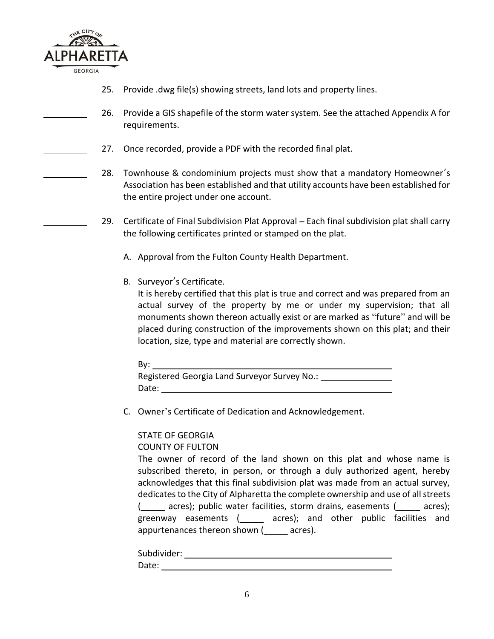

- 25. Provide .dwg file(s) showing streets, land lots and property lines.
- 26. Provide a GIS shapefile of the storm water system. See the attached Appendix A for requirements.
- 27. Once recorded, provide a PDF with the recorded final plat.
- 28. Townhouse & condominium projects must show that a mandatory Homeowner's Association has been established and that utility accounts have been established for the entire project under one account.
	- 29. Certificate of Final Subdivision Plat Approval Each final subdivision plat shall carry the following certificates printed or stamped on the plat.
		- A. Approval from the Fulton County Health Department.
		- B. Surveyor's Certificate.

It is hereby certified that this plat is true and correct and was prepared from an actual survey of the property by me or under my supervision; that all monuments shown thereon actually exist or are marked as "future" and will be placed during construction of the improvements shown on this plat; and their location, size, type and material are correctly shown.

| By:                                          |
|----------------------------------------------|
| Registered Georgia Land Surveyor Survey No.: |
| Date:                                        |

C. Owner's Certificate of Dedication and Acknowledgement.

#### STATE OF GEORGIA

COUNTY OF FULTON

The owner of record of the land shown on this plat and whose name is subscribed thereto, in person, or through a duly authorized agent, hereby acknowledges that this final subdivision plat was made from an actual survey, dedicates to the City of Alpharetta the complete ownership and use of all streets (\_\_\_\_\_ acres); public water facilities, storm drains, easements (\_\_\_\_\_ acres); greenway easements (\_\_\_\_\_ acres); and other public facilities and appurtenances thereon shown ( \_\_\_\_\_ acres).

| Subdivider: |  |
|-------------|--|
| Date:       |  |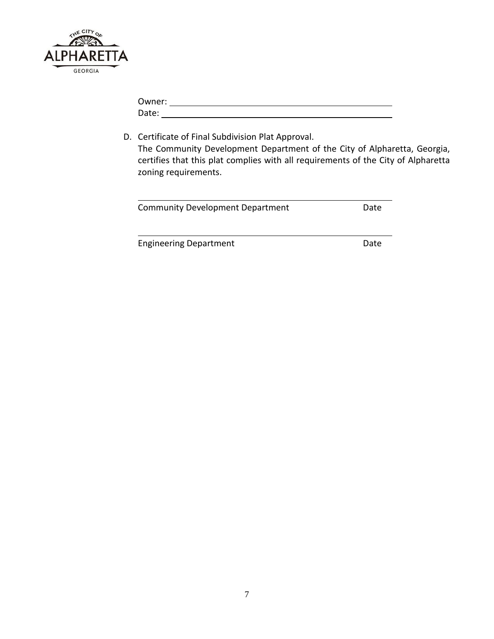

| Owner: |  |  |
|--------|--|--|
| Date:  |  |  |

D. Certificate of Final Subdivision Plat Approval. The Community Development Department of the City of Alpharetta, Georgia, certifies that this plat complies with all requirements of the City of Alpharetta zoning requirements.

| <b>Community Development Department</b> | Date |
|-----------------------------------------|------|
|-----------------------------------------|------|

Engineering Department **Date** Date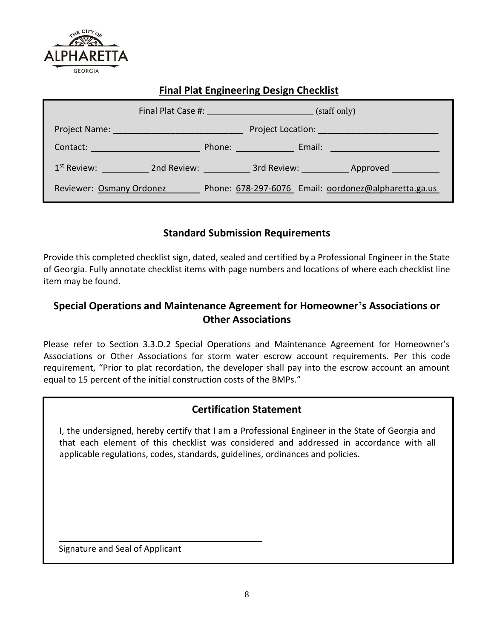

### **Final Plat Engineering Design Checklist**

|                                     | Final Plat Case #: New York Plate Case #:<br>(staff only) |
|-------------------------------------|-----------------------------------------------------------|
|                                     |                                                           |
| Contact: New York Contact:          | Email: ________________________<br>Phone: New York Phone: |
| 1 <sup>st</sup> Review: 2nd Review: | 3rd Review: _____________ Approved ___________            |
| Reviewer: Osmany Ordonez            | Phone: 678-297-6076 Email: oordonez@alpharetta.ga.us      |

#### **Standard Submission Requirements**

Provide this completed checklist sign, dated, sealed and certified by a Professional Engineer in the State of Georgia. Fully annotate checklist items with page numbers and locations of where each checklist line item may be found.

## **Special Operations and Maintenance Agreement for Homeowner's Associations or Other Associations**

Please refer to Section 3.3.D.2 Special Operations and Maintenance Agreement for Homeowner's Associations or Other Associations for storm water escrow account requirements. Per this code requirement, "Prior to plat recordation, the developer shall pay into the escrow account an amount equal to 15 percent of the initial construction costs of the BMPs."

## **Certification Statement**

I, the undersigned, hereby certify that I am a Professional Engineer in the State of Georgia and that each element of this checklist was considered and addressed in accordance with all applicable regulations, codes, standards, guidelines, ordinances and policies.

Signature and Seal of Applicant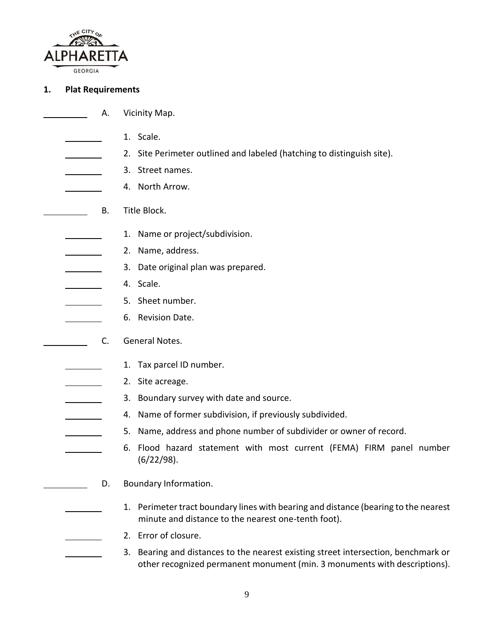

#### **1. Plat Requirements**

- A. Vicinity Map.
- 1. Scale.
	- 2. Site Perimeter outlined and labeled (hatching to distinguish site).
	- 3. Street names.
- 4. North Arrow.
- B. Title Block.
	- 1. Name or project/subdivision.
	- 2. Name, address.
	- 3. Date original plan was prepared.
	- 4. Scale.
		- 5. Sheet number.
	- 6. Revision Date.
	- C. General Notes.
		- 1. Tax parcel ID number.
		- 2. Site acreage.
		- 3. Boundary survey with date and source.
			- 4. Name of former subdivision, if previously subdivided.
				- 5. Name, address and phone number of subdivider or owner of record.
		- 6. Flood hazard statement with most current (FEMA) FIRM panel number (6/22/98).
			- D. Boundary Information.
				- 1. Perimeter tract boundary lines with bearing and distance (bearing to the nearest minute and distance to the nearest one-tenth foot).
			- 2. Error of closure.
			- 3. Bearing and distances to the nearest existing street intersection, benchmark or other recognized permanent monument (min. 3 monuments with descriptions).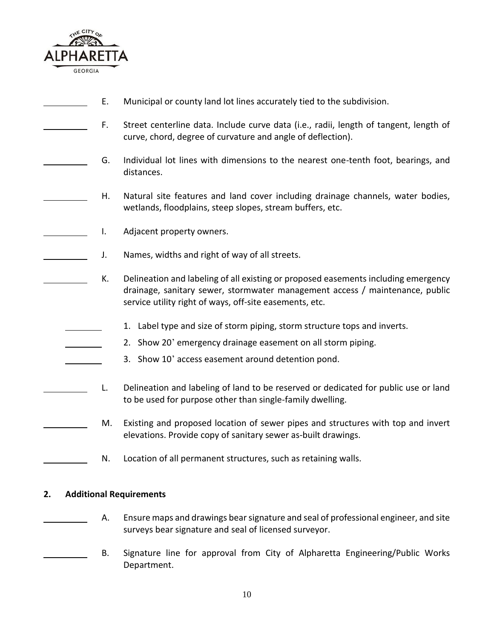

- E. Municipal or county land lot lines accurately tied to the subdivision.
- F. Street centerline data. Include curve data (i.e., radii, length of tangent, length of curve, chord, degree of curvature and angle of deflection).
- G. Individual lot lines with dimensions to the nearest one-tenth foot, bearings, and distances.
	- H. Natural site features and land cover including drainage channels, water bodies, wetlands, floodplains, steep slopes, stream buffers, etc.
- I. Adjacent property owners.
	- J. Names, widths and right of way of all streets.
	- K. Delineation and labeling of all existing or proposed easements including emergency drainage, sanitary sewer, stormwater management access / maintenance, public service utility right of ways, off-site easements, etc.
		- 1. Label type and size of storm piping, storm structure tops and inverts.
			- 2. Show 20' emergency drainage easement on all storm piping.
		- 3. Show 10' access easement around detention pond.
- L. Delineation and labeling of land to be reserved or dedicated for public use or land to be used for purpose other than single-family dwelling.
	- M. Existing and proposed location of sewer pipes and structures with top and invert elevations. Provide copy of sanitary sewer as-built drawings.
		- N. Location of all permanent structures, such as retaining walls.

#### **2. Additional Requirements**

- A. Ensure maps and drawings bear signature and seal of professional engineer, and site surveys bear signature and seal of licensed surveyor.
	- B. Signature line for approval from City of Alpharetta Engineering/Public Works Department.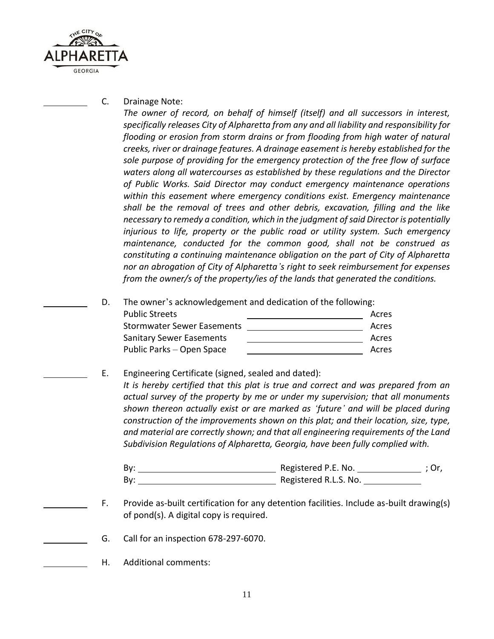

C. Drainage Note:

*The owner of record, on behalf of himself (itself) and all successors in interest, specifically releases City of Alpharetta from any and all liability and responsibility for flooding or erosion from storm drains or from flooding from high water of natural creeks, river or drainage features. A drainage easement is hereby established for the sole purpose of providing for the emergency protection of the free flow of surface waters along all watercourses as established by these regulations and the Director of Public Works. Said Director may conduct emergency maintenance operations within this easement where emergency conditions exist. Emergency maintenance shall be the removal of trees and other debris, excavation, filling and the like necessary to remedy a condition, which in the judgment of said Director is potentially injurious to life, property or the public road or utility system. Such emergency maintenance, conducted for the common good, shall not be construed as constituting a continuing maintenance obligation on the part of City of Alpharetta nor an abrogation of City of Alpharetta's right to seek reimbursement for expenses from the owner/s of the property/ies of the lands that generated the conditions.*

D. The owner's acknowledgement and dedication of the following:

| <b>Public Streets</b>             | Acres |
|-----------------------------------|-------|
| <b>Stormwater Sewer Easements</b> | Acres |
| <b>Sanitary Sewer Easements</b>   | Acres |
| Public Parks – Open Space         | Acres |

E. Engineering Certificate (signed, sealed and dated): It is hereby certified that this plat is true and correct and was prepared from an *actual survey of the property by me or under my supervision; that all monuments shown thereon actually exist or are marked as 'future' and will be placed during construction of the improvements shown on this plat; and their location, size, type, and material are correctly shown; and that all engineering requirements of the Land* 

By: Registered P.E. No. ; Or, By: Registered R.L.S. No.

*Subdivision Regulations of Alpharetta, Georgia, have been fully complied with.*

- F. Provide as-built certification for any detention facilities. Include as-built drawing(s) of pond(s). A digital copy is required.
- G. Call for an inspection 678-297-6070.
	- H. Additional comments: